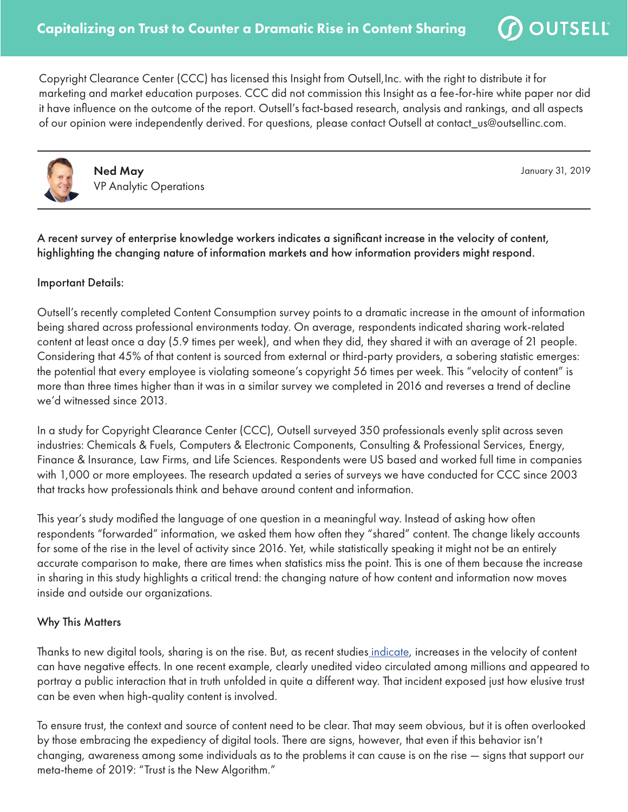Copyright Clearance Center (CCC) has licensed this Insight from Outsell,Inc. with the right to distribute it for marketing and market education purposes. CCC did not commission this Insight as a fee-for-hire white paper nor did it have influence on the outcome of the report. Outsell's fact-based research, analysis and rankings, and all aspects of our opinion were independently derived. For questions, please contact Outsell at contact\_us@outsellinc.com.



Ned May VP Analytic Operations January 31, 2019

 $\mathcal D$  OUTSELL  $^{\circ}$ 

A recent survey of enterprise knowledge workers indicates a significant increase in the velocity of content, highlighting the changing nature of information markets and how information providers might respond.

## Important Details:

Outsell's recently completed Content Consumption survey points to a dramatic increase in the amount of information being shared across professional environments today. On average, respondents indicated sharing work-related content at least once a day (5.9 times per week), and when they did, they shared it with an average of 21 people. Considering that 45% of that content is sourced from external or third-party providers, a sobering statistic emerges: the potential that every employee is violating someone's copyright 56 times per week. This "velocity of content" is more than three times higher than it was in a similar survey we completed in 2016 and reverses a trend of decline we'd witnessed since 2013.

In a study for Copyright Clearance Center (CCC), Outsell surveyed 350 professionals evenly split across seven industries: Chemicals & Fuels, Computers & Electronic Components, Consulting & Professional Services, Energy, Finance & Insurance, Law Firms, and Life Sciences. Respondents were US based and worked full time in companies with 1,000 or more employees. The research updated a series of surveys we have conducted for CCC since 2003 that tracks how professionals think and behave around content and information.

This year's study modified the language of one question in a meaningful way. Instead of asking how often respondents "forwarded" information, we asked them how often they "shared" content. The change likely accounts for some of the rise in the level of activity since 2016. Yet, while statistically speaking it might not be an entirely accurate comparison to make, there are times when statistics miss the point. This is one of them because the increase in sharing in this study highlights a critical trend: the changing nature of how content and information now moves inside and outside our organizations.

## Why This Matters

Thanks to new digital tools, sharing is on the rise. But, as recent studie[s indicate,](http://theconversation.com/misinformation-and-biases-infect-social-media-both-intentionally-and-accidentally-97148) increases in the velocity of content can have negative effects. In one recent example, clearly unedited video circulated among millions and appeared to portray a public interaction that in truth unfolded in quite a different way. That incident exposed just how elusive trust can be even when high-quality content is involved.

To ensure trust, the context and source of content need to be clear. That may seem obvious, but it is often overlooked by those embracing the expediency of digital tools. There are signs, however, that even if this behavior isn't changing, awareness among some individuals as to the problems it can cause is on the rise — signs that support our meta-theme of 2019: "Trust is the New Algorithm."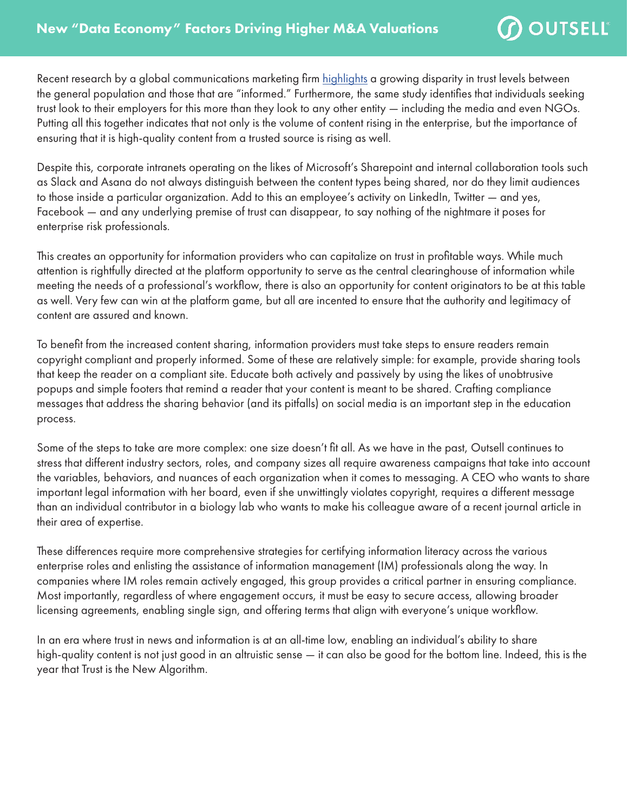$\Omega$  OUTSELL  $^{\circ}$ 

Recent research by a global communications marketing firm [highlights](https://www.edelman.com/trust-barometer?) a growing disparity in trust levels between the general population and those that are "informed." Furthermore, the same study identifies that individuals seeking trust look to their employers for this more than they look to any other entity — including the media and even NGOs. Putting all this together indicates that not only is the volume of content rising in the enterprise, but the importance of ensuring that it is high-quality content from a trusted source is rising as well.

Despite this, corporate intranets operating on the likes of Microsoft's Sharepoint and internal collaboration tools such as Slack and Asana do not always distinguish between the content types being shared, nor do they limit audiences to those inside a particular organization. Add to this an employee's activity on LinkedIn, Twitter — and yes, Facebook — and any underlying premise of trust can disappear, to say nothing of the nightmare it poses for enterprise risk professionals.

This creates an opportunity for information providers who can capitalize on trust in profitable ways. While much attention is rightfully directed at the platform opportunity to serve as the central clearinghouse of information while meeting the needs of a professional's workflow, there is also an opportunity for content originators to be at this table as well. Very few can win at the platform game, but all are incented to ensure that the authority and legitimacy of content are assured and known.

To benefit from the increased content sharing, information providers must take steps to ensure readers remain copyright compliant and properly informed. Some of these are relatively simple: for example, provide sharing tools that keep the reader on a compliant site. Educate both actively and passively by using the likes of unobtrusive popups and simple footers that remind a reader that your content is meant to be shared. Crafting compliance messages that address the sharing behavior (and its pitfalls) on social media is an important step in the education process.

Some of the steps to take are more complex: one size doesn't fit all. As we have in the past, Outsell continues to stress that different industry sectors, roles, and company sizes all require awareness campaigns that take into account the variables, behaviors, and nuances of each organization when it comes to messaging. A CEO who wants to share important legal information with her board, even if she unwittingly violates copyright, requires a different message than an individual contributor in a biology lab who wants to make his colleague aware of a recent journal article in their area of expertise.

These differences require more comprehensive strategies for certifying information literacy across the various enterprise roles and enlisting the assistance of information management (IM) professionals along the way. In companies where IM roles remain actively engaged, this group provides a critical partner in ensuring compliance. Most importantly, regardless of where engagement occurs, it must be easy to secure access, allowing broader licensing agreements, enabling single sign, and offering terms that align with everyone's unique workflow.

In an era where trust in news and information is at an all-time low, enabling an individual's ability to share high-quality content is not just good in an altruistic sense — it can also be good for the bottom line. Indeed, this is the year that Trust is the New Algorithm.